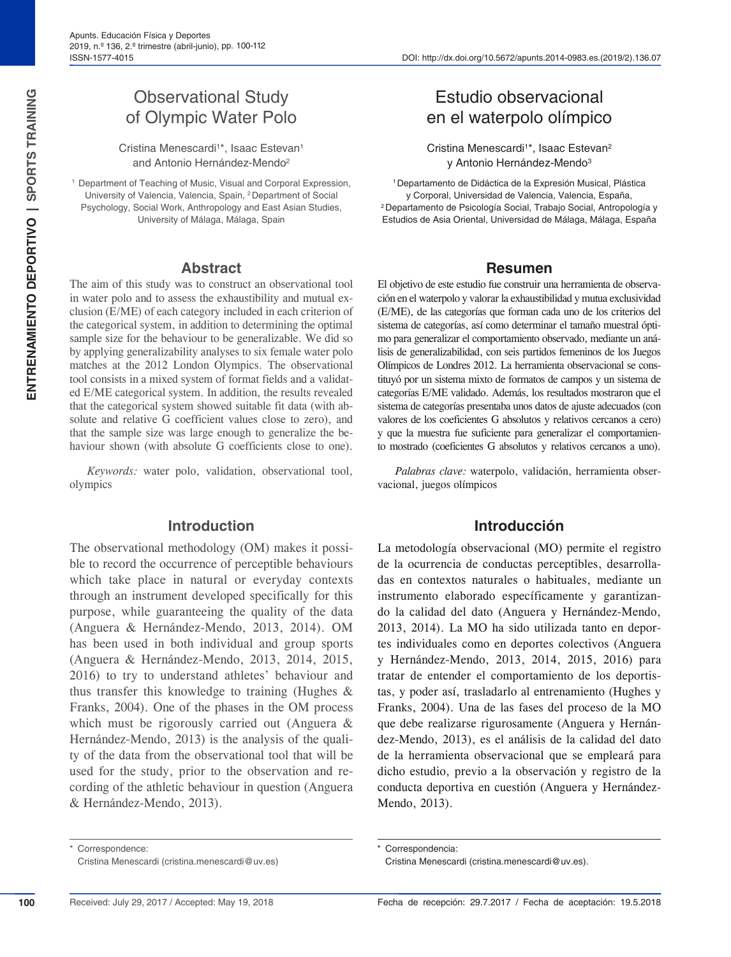# Observational Study of Olympic Water Polo

Cristina Menescardi<sup>1\*</sup>, Isaac Estevan<sup>1</sup> and Antonio Hernández-Mendo<sup>2</sup>

<sup>1</sup> Department of Teaching of Music, Visual and Corporal Expression, University of Valencia, Valencia, Spain, 2Department of Social Psychology, Social Work, Anthropology and East Asian Studies, University of Málaga, Málaga, Spain

#### **Abstract**

The aim of this study was to construct an observational tool in water polo and to assess the exhaustibility and mutual exclusion (E/ME) of each category included in each criterion of the categorical system, in addition to determining the optimal sample size for the behaviour to be generalizable. We did so by applying generalizability analyses to six female water polo matches at the 2012 London Olympics. The observational tool consists in a mixed system of format fields and a validated E/ME categorical system. In addition, the results revealed that the categorical system showed suitable fit data (with absolute and relative G coefficient values close to zero), and that the sample size was large enough to generalize the behaviour shown (with absolute G coefficients close to one).

*Keywords:* water polo, validation, observational tool, olympics

#### **Introduction**

The observational methodology (OM) makes it possible to record the occurrence of perceptible behaviours which take place in natural or everyday contexts through an instrument developed specifically for this purpose, while guaranteeing the quality of the data (Anguera & Hernández-Mendo, 2013, 2014). OM has been used in both individual and group sports (Anguera & Hernández-Mendo, 2013, 2014, 2015, 2016) to try to understand athletes' behaviour and thus transfer this knowledge to training (Hughes & Franks, 2004). One of the phases in the OM process which must be rigorously carried out (Anguera & Hernández-Mendo, 2013) is the analysis of the quality of the data from the observational tool that will be used for the study, prior to the observation and recording of the athletic behaviour in question (Anguera & Hernández-Mendo, 2013).

**100**

Cristina Menescardi (cristina.menescardi@uv.es)

# Estudio observacional en el waterpolo olímpico

Cristina Menescardi<sup>1\*</sup>, Isaac Estevan<sup>2</sup> v Antonio Hernández-Mendo<sup>3</sup>

1Departamento de Didáctica de la Expresión Musical, Plástica y Corporal, Universidad de Valencia, Valencia, España, 2Departamento de Psicología Social, Trabajo Social, Antropología y Estudios de Asia Oriental, Universidad de Málaga, Málaga, España

#### **Resumen**

El objetivo de este estudio fue construir una herramienta de observación en el waterpolo y valorar la exhaustibilidad y mutua exclusividad (E/ME), de las categorías que forman cada uno de los criterios del sistema de categorías, así como determinar el tamaño muestral óptimo para generalizar el comportamiento observado, mediante un análisis de generalizabilidad, con seis partidos femeninos de los Juegos Olímpicos de Londres 2012. La herramienta observacional se constituyó por un sistema mixto de formatos de campos y un sistema de categorías E/ME validado. Además, los resultados mostraron que el sistema de categorías presentaba unos datos de ajuste adecuados (con valores de los coeficientes G absolutos y relativos cercanos a cero) y que la muestra fue suficiente para generalizar el comportamiento mostrado (coeficientes G absolutos y relativos cercanos a uno).

*Palabras clave:* waterpolo, validación, herramienta observacional, juegos olímpicos

#### **Introducción**

La metodología observacional (MO) permite el registro de la ocurrencia de conductas perceptibles, desarrolladas en contextos naturales o habituales, mediante un instrumento elaborado específicamente y garantizando la calidad del dato (Anguera y Hernández-Mendo, 2013, 2014). La MO ha sido utilizada tanto en deportes individuales como en deportes colectivos (Anguera y Hernández-Mendo, 2013, 2014, 2015, 2016) para tratar de entender el comportamiento de los deportistas, y poder así, trasladarlo al entrenamiento (Hughes y Franks, 2004). Una de las fases del proceso de la MO que debe realizarse rigurosamente (Anguera y Hernández-Mendo, 2013), es el análisis de la calidad del dato de la herramienta observacional que se empleará para dicho estudio, previo a la observación y registro de la conducta deportiva en cuestión (Anguera y Hernández-Mendo, 2013).

Correspondencia:

Correspondence:

Cristina Menescardi (cristina.menescardi@uv.es).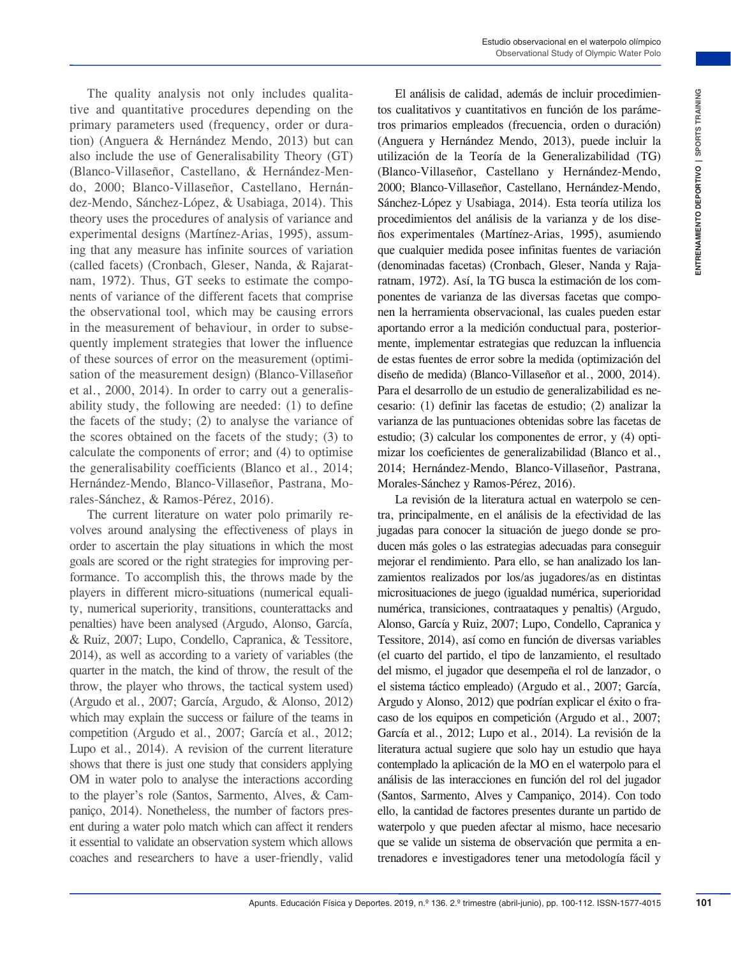The quality analysis not only includes qualitative and quantitative procedures depending on the primary parameters used (frequency, order or duration) (Anguera & Hernández Mendo, 2013) but can also include the use of Generalisability Theory (GT) (Blanco-Villaseñor, Castellano, & Hernández-Mendo, 2000; Blanco-Villaseñor, Castellano, Hernández-Mendo, Sánchez-López, & Usabiaga, 2014). This theory uses the procedures of analysis of variance and experimental designs (Martínez-Arias, 1995), assuming that any measure has infinite sources of variation (called facets) (Cronbach, Gleser, Nanda, & Rajaratnam, 1972). Thus, GT seeks to estimate the components of variance of the different facets that comprise the observational tool, which may be causing errors in the measurement of behaviour, in order to subsequently implement strategies that lower the influence of these sources of error on the measurement (optimisation of the measurement design) (Blanco-Villaseñor et al., 2000, 2014). In order to carry out a generalisability study, the following are needed: (1) to define the facets of the study; (2) to analyse the variance of the scores obtained on the facets of the study; (3) to calculate the components of error; and (4) to optimise the generalisability coefficients (Blanco et al., 2014; Hernández-Mendo, Blanco-Villaseñor, Pastrana, Morales-Sánchez, & Ramos-Pérez, 2016).

The current literature on water polo primarily revolves around analysing the effectiveness of plays in order to ascertain the play situations in which the most goals are scored or the right strategies for improving performance. To accomplish this, the throws made by the players in different micro-situations (numerical equality, numerical superiority, transitions, counterattacks and penalties) have been analysed (Argudo, Alonso, García, & Ruiz, 2007; Lupo, Condello, Capranica, & Tessitore, 2014), as well as according to a variety of variables (the quarter in the match, the kind of throw, the result of the throw, the player who throws, the tactical system used) (Argudo et al., 2007; García, Argudo, & Alonso, 2012) which may explain the success or failure of the teams in competition (Argudo et al., 2007; García et al., 2012; Lupo et al., 2014). A revision of the current literature shows that there is just one study that considers applying OM in water polo to analyse the interactions according to the player's role (Santos, Sarmento, Alves, & Campaniço, 2014). Nonetheless, the number of factors present during a water polo match which can affect it renders it essential to validate an observation system which allows coaches and researchers to have a user-friendly, valid

y includes qualitation-<br>
Education Fisica y and the material control in the particular stress. The particular stress are controlled in the second of the second of the second of the second of the second of the second of the El análisis de calidad, además de incluir procedimientos cualitativos y cuantitativos en función de los parámetros primarios empleados (frecuencia, orden o duración) (Anguera y Hernández Mendo, 2013), puede incluir la utilización de la Teoría de la Generalizabilidad (TG) (Blanco-Villaseñor, Castellano y Hernández-Mendo, 2000; Blanco-Villaseñor, Castellano, Hernández-Mendo, Sánchez-López y Usabiaga, 2014). Esta teoría utiliza los procedimientos del análisis de la varianza y de los diseños experimentales (Martínez-Arias, 1995), asumiendo que cualquier medida posee infinitas fuentes de variación (denominadas facetas) (Cronbach, Gleser, Nanda y Rajaratnam, 1972). Así, la TG busca la estimación de los componentes de varianza de las diversas facetas que componen la herramienta observacional, las cuales pueden estar aportando error a la medición conductual para, posteriormente, implementar estrategias que reduzcan la influencia de estas fuentes de error sobre la medida (optimización del diseño de medida) (Blanco-Villaseñor et al., 2000, 2014). Para el desarrollo de un estudio de generalizabilidad es necesario: (1) definir las facetas de estudio; (2) analizar la varianza de las puntuaciones obtenidas sobre las facetas de estudio; (3) calcular los componentes de error, y (4) optimizar los coeficientes de generalizabilidad (Blanco et al., 2014; Hernández-Mendo, Blanco-Villaseñor, Pastrana, Morales-Sánchez y Ramos-Pérez, 2016).

La revisión de la literatura actual en waterpolo se centra, principalmente, en el análisis de la efectividad de las jugadas para conocer la situación de juego donde se producen más goles o las estrategias adecuadas para conseguir mejorar el rendimiento. Para ello, se han analizado los lanzamientos realizados por los/as jugadores/as en distintas microsituaciones de juego (igualdad numérica, superioridad numérica, transiciones, contraataques y penaltis) (Argudo, Alonso, García y Ruiz, 2007; Lupo, Condello, Capranica y Tessitore, 2014), así como en función de diversas variables (el cuarto del partido, el tipo de lanzamiento, el resultado del mismo, el jugador que desempeña el rol de lanzador, o el sistema táctico empleado) (Argudo et al., 2007; García, Argudo y Alonso, 2012) que podrían explicar el éxito o fracaso de los equipos en competición (Argudo et al., 2007; García et al., 2012; Lupo et al., 2014). La revisión de la literatura actual sugiere que solo hay un estudio que haya contemplado la aplicación de la MO en el waterpolo para el análisis de las interacciones en función del rol del jugador (Santos, Sarmento, Alves y Campaniço, 2014). Con todo ello, la cantidad de factores presentes durante un partido de waterpolo y que pueden afectar al mismo, hace necesario que se valide un sistema de observación que permita a entrenadores e investigadores tener una metodología fácil y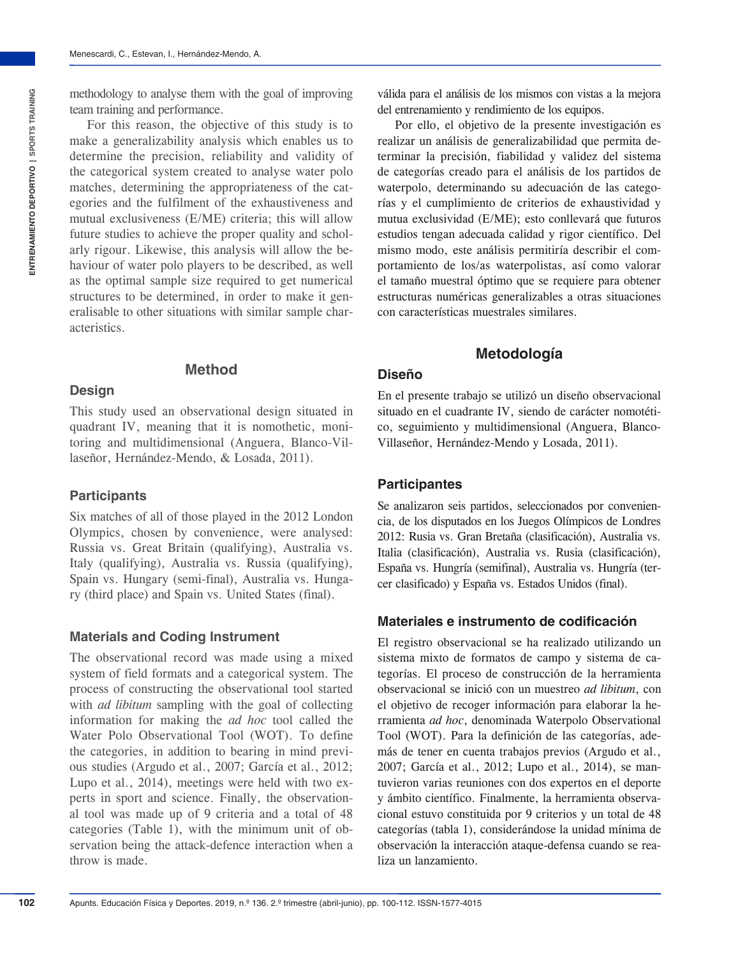For this reason, the objective of this study is to make a generalizability analysis which enables us to determine the precision, reliability and validity of the categorical system created to analyse water polo matches, determining the appropriateness of the categories and the fulfilment of the exhaustiveness and mutual exclusiveness (E/ME) criteria; this will allow future studies to achieve the proper quality and scholarly rigour. Likewise, this analysis will allow the behaviour of water polo players to be described, as well as the optimal sample size required to get numerical structures to be determined, in order to make it generalisable to other situations with similar sample characteristics.

# **Method**

This study used an observational design situated in quadrant IV, meaning that it is nomothetic, monitoring and multidimensional (Anguera, Blanco-Villaseñor, Hernández-Mendo, & Losada, 2011).

## **Participants**

**Design**

Six matches of all of those played in the 2012 London Olympics, chosen by convenience, were analysed: Russia vs. Great Britain (qualifying), Australia vs. Italy (qualifying), Australia vs. Russia (qualifying), Spain vs. Hungary (semi-final), Australia vs. Hungary (third place) and Spain vs. United States (final).

## **Materials and Coding Instrument**

The observational record was made using a mixed system of field formats and a categorical system. The process of constructing the observational tool started with *ad libitum* sampling with the goal of collecting information for making the *ad hoc* tool called the Water Polo Observational Tool (WOT). To define the categories, in addition to bearing in mind previous studies (Argudo et al., 2007; García et al., 2012; Lupo et al., 2014), meetings were held with two experts in sport and science. Finally, the observational tool was made up of 9 criteria and a total of 48 categories (Table 1), with the minimum unit of observation being the attack-defence interaction when a throw is made.

válida para el análisis de los mismos con vistas a la mejora del entrenamiento y rendimiento de los equipos.

Por ello, el objetivo de la presente investigación es realizar un análisis de generalizabilidad que permita determinar la precisión, fiabilidad y validez del sistema de categorías creado para el análisis de los partidos de waterpolo, determinando su adecuación de las categorías y el cumplimiento de criterios de exhaustividad y mutua exclusividad (E/ME); esto conllevará que futuros estudios tengan adecuada calidad y rigor científico. Del mismo modo, este análisis permitiría describir el comportamiento de los/as waterpolistas, así como valorar el tamaño muestral óptimo que se requiere para obtener estructuras numéricas generalizables a otras situaciones con características muestrales similares.

# **Metodología**

#### **Diseño**

En el presente trabajo se utilizó un diseño observacional situado en el cuadrante IV, siendo de carácter nomotético, seguimiento y multidimensional (Anguera, Blanco-Villaseñor, Hernández-Mendo y Losada, 2011).

## **Participantes**

Se analizaron seis partidos, seleccionados por conveniencia, de los disputados en los Juegos Olímpicos de Londres 2012: Rusia vs. Gran Bretaña (clasificación), Australia vs. Italia (clasificación), Australia vs. Rusia (clasificación), España vs. Hungría (semifinal), Australia vs. Hungría (tercer clasificado) y España vs. Estados Unidos (final).

## **Materiales e instrumento de codificación**

El registro observacional se ha realizado utilizando un sistema mixto de formatos de campo y sistema de categorías. El proceso de construcción de la herramienta observacional se inició con un muestreo *ad libitum*, con el objetivo de recoger información para elaborar la herramienta *ad hoc*, denominada Waterpolo Observational Tool (WOT). Para la definición de las categorías, además de tener en cuenta trabajos previos (Argudo et al., 2007; García et al., 2012; Lupo et al., 2014), se mantuvieron varias reuniones con dos expertos en el deporte y ámbito científico. Finalmente, la herramienta observacional estuvo constituida por 9 criterios y un total de 48 categorías (tabla 1), considerándose la unidad mínima de observación la interacción ataque-defensa cuando se realiza un lanzamiento.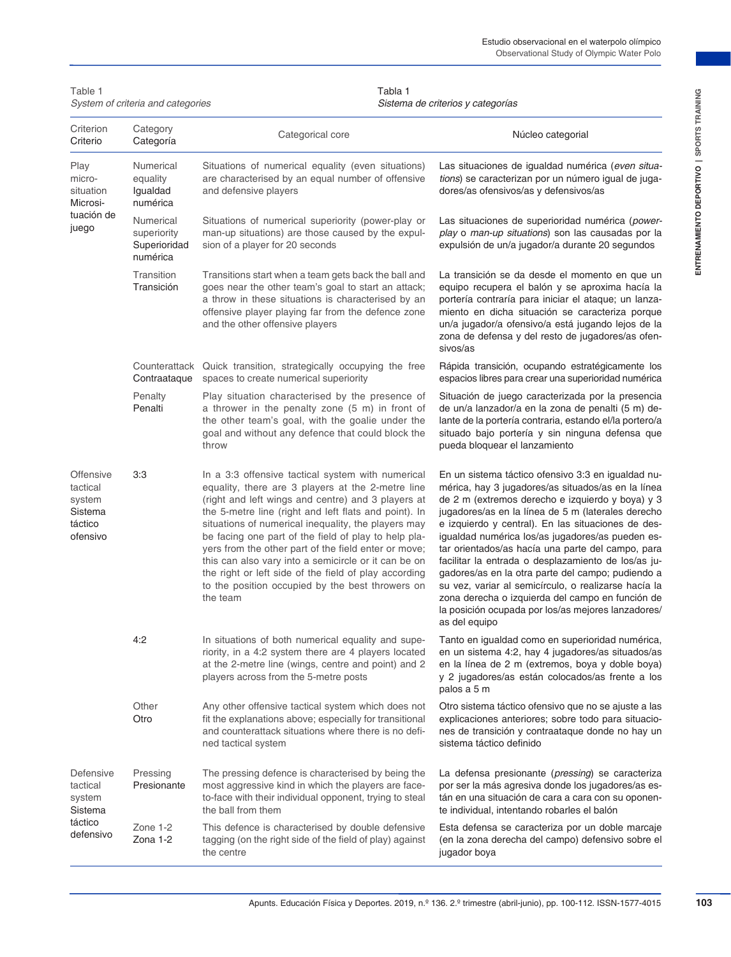| Table 1                           | Tabla 1                           |
|-----------------------------------|-----------------------------------|
| System of criteria and categories | Sistema de criterios y categorías |

| System of criteria and categories                                 |                                                      |                                                                                                                                                                                                                                                                                                                                                                                                                                                                                                                                                                               | Sistema de criterios y categorías                                                                                                                                                                                                                                                                                                                                                                                                                                                                                                                                                                                                                                                |  |  |
|-------------------------------------------------------------------|------------------------------------------------------|-------------------------------------------------------------------------------------------------------------------------------------------------------------------------------------------------------------------------------------------------------------------------------------------------------------------------------------------------------------------------------------------------------------------------------------------------------------------------------------------------------------------------------------------------------------------------------|----------------------------------------------------------------------------------------------------------------------------------------------------------------------------------------------------------------------------------------------------------------------------------------------------------------------------------------------------------------------------------------------------------------------------------------------------------------------------------------------------------------------------------------------------------------------------------------------------------------------------------------------------------------------------------|--|--|
| Criterion<br>Criterio                                             | Category<br>Categoría                                | Categorical core                                                                                                                                                                                                                                                                                                                                                                                                                                                                                                                                                              | Núcleo categorial                                                                                                                                                                                                                                                                                                                                                                                                                                                                                                                                                                                                                                                                |  |  |
| Play<br>micro-<br>situation<br>Microsi-                           | Numerical<br>equality<br>Igualdad<br>numérica        | Situations of numerical equality (even situations)<br>are characterised by an equal number of offensive<br>and defensive players                                                                                                                                                                                                                                                                                                                                                                                                                                              | Las situaciones de igualdad numérica (even situa-<br>tions) se caracterizan por un número igual de juga-<br>dores/as ofensivos/as y defensivos/as                                                                                                                                                                                                                                                                                                                                                                                                                                                                                                                                |  |  |
| tuación de<br>juego                                               | Numerical<br>superiority<br>Superioridad<br>numérica | Situations of numerical superiority (power-play or<br>man-up situations) are those caused by the expul-<br>sion of a player for 20 seconds                                                                                                                                                                                                                                                                                                                                                                                                                                    | Las situaciones de superioridad numérica (power-<br>play o man-up situations) son las causadas por la<br>expulsión de un/a jugador/a durante 20 segundos                                                                                                                                                                                                                                                                                                                                                                                                                                                                                                                         |  |  |
|                                                                   | Transition<br>Transición                             | Transitions start when a team gets back the ball and<br>goes near the other team's goal to start an attack;<br>a throw in these situations is characterised by an<br>offensive player playing far from the defence zone<br>and the other offensive players                                                                                                                                                                                                                                                                                                                    | La transición se da desde el momento en que un<br>equipo recupera el balón y se aproxima hacía la<br>portería contraría para iniciar el ataque; un lanza-<br>miento en dicha situación se caracteriza porque<br>un/a jugador/a ofensivo/a está jugando lejos de la<br>zona de defensa y del resto de jugadores/as ofen-<br>sivos/as                                                                                                                                                                                                                                                                                                                                              |  |  |
|                                                                   | Contraataque                                         | Counterattack Quick transition, strategically occupying the free<br>spaces to create numerical superiority                                                                                                                                                                                                                                                                                                                                                                                                                                                                    | Rápida transición, ocupando estratégicamente los<br>espacios libres para crear una superioridad numérica                                                                                                                                                                                                                                                                                                                                                                                                                                                                                                                                                                         |  |  |
|                                                                   | Penalty<br>Penalti                                   | Play situation characterised by the presence of<br>a thrower in the penalty zone (5 m) in front of<br>the other team's goal, with the goalie under the<br>goal and without any defence that could block the<br>throw                                                                                                                                                                                                                                                                                                                                                          | Situación de juego caracterizada por la presencia<br>de un/a lanzador/a en la zona de penalti (5 m) de-<br>lante de la portería contraria, estando el/la portero/a<br>situado bajo portería y sin ninguna defensa que<br>pueda bloquear el lanzamiento                                                                                                                                                                                                                                                                                                                                                                                                                           |  |  |
| Offensive<br>tactical<br>system<br>Sistema<br>táctico<br>ofensivo | 3:3                                                  | In a 3:3 offensive tactical system with numerical<br>equality, there are 3 players at the 2-metre line<br>(right and left wings and centre) and 3 players at<br>the 5-metre line (right and left flats and point). In<br>situations of numerical inequality, the players may<br>be facing one part of the field of play to help pla-<br>yers from the other part of the field enter or move;<br>this can also vary into a semicircle or it can be on<br>the right or left side of the field of play according<br>to the position occupied by the best throwers on<br>the team | En un sistema táctico ofensivo 3:3 en igualdad nu-<br>mérica, hay 3 jugadores/as situados/as en la línea<br>de 2 m (extremos derecho e izquierdo y boya) y 3<br>jugadores/as en la línea de 5 m (laterales derecho<br>e izquierdo y central). En las situaciones de des-<br>igualdad numérica los/as jugadores/as pueden es-<br>tar orientados/as hacía una parte del campo, para<br>facilitar la entrada o desplazamiento de los/as ju-<br>gadores/as en la otra parte del campo; pudiendo a<br>su vez, variar al semicírculo, o realizarse hacía la<br>zona derecha o izquierda del campo en función de<br>la posición ocupada por los/as mejores lanzadores/<br>as del equipo |  |  |
|                                                                   | 4:2                                                  | In situations of both numerical equality and supe-<br>riority, in a 4:2 system there are 4 players located<br>at the 2-metre line (wings, centre and point) and 2<br>players across from the 5-metre posts                                                                                                                                                                                                                                                                                                                                                                    | Tanto en igualdad como en superioridad numérica,<br>en un sistema 4:2, hay 4 jugadores/as situados/as<br>en la línea de 2 m (extremos, boya y doble boya)<br>y 2 jugadores/as están colocados/as frente a los<br>palos a 5 m                                                                                                                                                                                                                                                                                                                                                                                                                                                     |  |  |
|                                                                   | Other<br>Otro                                        | Any other offensive tactical system which does not<br>fit the explanations above; especially for transitional<br>and counterattack situations where there is no defi-<br>ned tactical system                                                                                                                                                                                                                                                                                                                                                                                  | Otro sistema táctico ofensivo que no se ajuste a las<br>explicaciones anteriores; sobre todo para situacio-<br>nes de transición y contraataque donde no hay un<br>sistema táctico definido                                                                                                                                                                                                                                                                                                                                                                                                                                                                                      |  |  |
| Defensive<br>tactical<br>system<br>Sistema<br>táctico             | Pressing<br>Presionante                              | The pressing defence is characterised by being the<br>most aggressive kind in which the players are face-<br>to-face with their individual opponent, trying to steal<br>the ball from them                                                                                                                                                                                                                                                                                                                                                                                    | La defensa presionante (pressing) se caracteriza<br>por ser la más agresiva donde los jugadores/as es-<br>tán en una situación de cara a cara con su oponen-<br>te individual, intentando robarles el balón                                                                                                                                                                                                                                                                                                                                                                                                                                                                      |  |  |
| defensivo                                                         | Zone 1-2<br>Zona 1-2                                 | This defence is characterised by double defensive<br>tagging (on the right side of the field of play) against<br>the centre                                                                                                                                                                                                                                                                                                                                                                                                                                                   | Esta defensa se caracteriza por un doble marcaje<br>(en la zona derecha del campo) defensivo sobre el<br>jugador boya                                                                                                                                                                                                                                                                                                                                                                                                                                                                                                                                                            |  |  |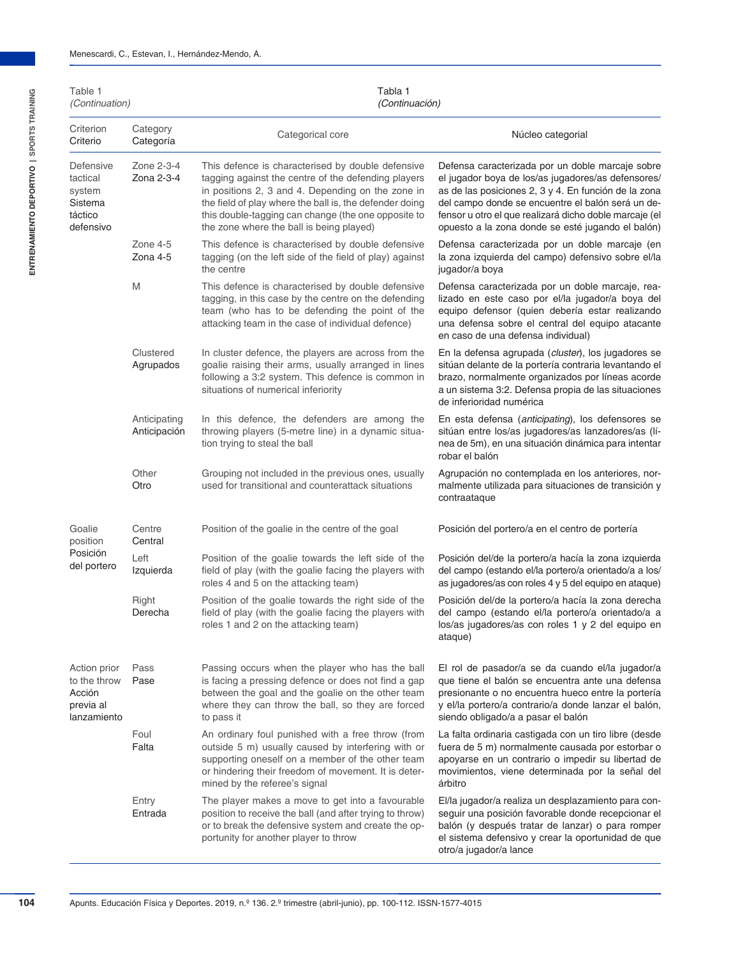| Table 1<br>(Continuation)                                          |                              | Tabla 1<br>(Continuación)                                                                                                                                                                                                                                                                                                   |                                                                                                                                                                                                                                                                                                                                    |
|--------------------------------------------------------------------|------------------------------|-----------------------------------------------------------------------------------------------------------------------------------------------------------------------------------------------------------------------------------------------------------------------------------------------------------------------------|------------------------------------------------------------------------------------------------------------------------------------------------------------------------------------------------------------------------------------------------------------------------------------------------------------------------------------|
| Criterion<br>Criterio                                              | Category<br>Categoría        | Categorical core                                                                                                                                                                                                                                                                                                            | Núcleo categorial                                                                                                                                                                                                                                                                                                                  |
| Defensive<br>tactical<br>system<br>Sistema<br>táctico<br>defensivo | Zone 2-3-4<br>Zona 2-3-4     | This defence is characterised by double defensive<br>tagging against the centre of the defending players<br>in positions 2, 3 and 4. Depending on the zone in<br>the field of play where the ball is, the defender doing<br>this double-tagging can change (the one opposite to<br>the zone where the ball is being played) | Defensa caracterizada por un doble marcaje sobre<br>el jugador boya de los/as jugadores/as defensores/<br>as de las posiciones 2, 3 y 4. En función de la zona<br>del campo donde se encuentre el balón será un de-<br>fensor u otro el que realizará dicho doble marcaje (el<br>opuesto a la zona donde se esté jugando el balón) |
|                                                                    | Zone 4-5<br>Zona 4-5         | This defence is characterised by double defensive<br>tagging (on the left side of the field of play) against<br>the centre                                                                                                                                                                                                  | Defensa caracterizada por un doble marcaje (en<br>la zona izquierda del campo) defensivo sobre el/la<br>jugador/a boya                                                                                                                                                                                                             |
|                                                                    | M                            | This defence is characterised by double defensive<br>tagging, in this case by the centre on the defending<br>team (who has to be defending the point of the<br>attacking team in the case of individual defence)                                                                                                            | Defensa caracterizada por un doble marcaje, rea-<br>lizado en este caso por el/la jugador/a boya del<br>equipo defensor (quien debería estar realizando<br>una defensa sobre el central del equipo atacante<br>en caso de una defensa individual)                                                                                  |
|                                                                    | Clustered<br>Agrupados       | In cluster defence, the players are across from the<br>goalie raising their arms, usually arranged in lines<br>following a 3:2 system. This defence is common in<br>situations of numerical inferiority                                                                                                                     | En la defensa agrupada (cluster), los jugadores se<br>sitúan delante de la portería contraria levantando el<br>brazo, normalmente organizados por líneas acorde<br>a un sistema 3:2. Defensa propia de las situaciones<br>de inferioridad numérica                                                                                 |
|                                                                    | Anticipating<br>Anticipación | In this defence, the defenders are among the<br>throwing players (5-metre line) in a dynamic situa-<br>tion trying to steal the ball                                                                                                                                                                                        | En esta defensa (anticipating), los defensores se<br>sitúan entre los/as jugadores/as lanzadores/as (lí-<br>nea de 5m), en una situación dinámica para intentar<br>robar el balón                                                                                                                                                  |
|                                                                    | Other<br>Otro                | Grouping not included in the previous ones, usually<br>used for transitional and counterattack situations                                                                                                                                                                                                                   | Agrupación no contemplada en los anteriores, nor-<br>malmente utilizada para situaciones de transición y<br>contraataque                                                                                                                                                                                                           |
| Goalie<br>position                                                 | Centre<br>Central            | Position of the goalie in the centre of the goal                                                                                                                                                                                                                                                                            | Posición del portero/a en el centro de portería                                                                                                                                                                                                                                                                                    |
| Posición<br>del portero                                            | Left<br>Izquierda            | Position of the goalie towards the left side of the<br>field of play (with the goalie facing the players with<br>roles 4 and 5 on the attacking team)                                                                                                                                                                       | Posición del/de la portero/a hacía la zona izquierda<br>del campo (estando el/la portero/a orientado/a a los/<br>as jugadores/as con roles 4 y 5 del equipo en ataque)                                                                                                                                                             |
|                                                                    | Right<br>Derecha             | Position of the goalie towards the right side of the<br>field of play (with the goalie facing the players with<br>roles 1 and 2 on the attacking team)                                                                                                                                                                      | Posición del/de la portero/a hacía la zona derecha<br>del campo (estando el/la portero/a orientado/a a<br>los/as jugadores/as con roles 1 y 2 del equipo en<br>ataque)                                                                                                                                                             |
| Action prior<br>to the throw<br>Acción<br>previa al<br>lanzamiento | Pass<br>Pase                 | Passing occurs when the player who has the ball<br>is facing a pressing defence or does not find a gap<br>between the goal and the goalie on the other team<br>where they can throw the ball, so they are forced<br>to pass it                                                                                              | El rol de pasador/a se da cuando el/la jugador/a<br>que tiene el balón se encuentra ante una defensa<br>presionante o no encuentra hueco entre la portería<br>y el/la portero/a contrario/a donde lanzar el balón,<br>siendo obligado/a a pasar el balón                                                                           |
|                                                                    | Foul<br>Falta                | An ordinary foul punished with a free throw (from<br>outside 5 m) usually caused by interfering with or<br>supporting oneself on a member of the other team<br>or hindering their freedom of movement. It is deter-<br>mined by the referee's signal                                                                        | La falta ordinaria castigada con un tiro libre (desde<br>fuera de 5 m) normalmente causada por estorbar o<br>apoyarse en un contrario o impedir su libertad de<br>movimientos, viene determinada por la señal del<br>árbitro                                                                                                       |
|                                                                    | Entry<br>Entrada             | The player makes a move to get into a favourable<br>position to receive the ball (and after trying to throw)<br>or to break the defensive system and create the op-<br>portunity for another player to throw                                                                                                                | El/la jugador/a realiza un desplazamiento para con-<br>seguir una posición favorable donde recepcionar el<br>balón (y después tratar de lanzar) o para romper<br>el sistema defensivo y crear la oportunidad de que<br>otro/a jugador/a lance                                                                                      |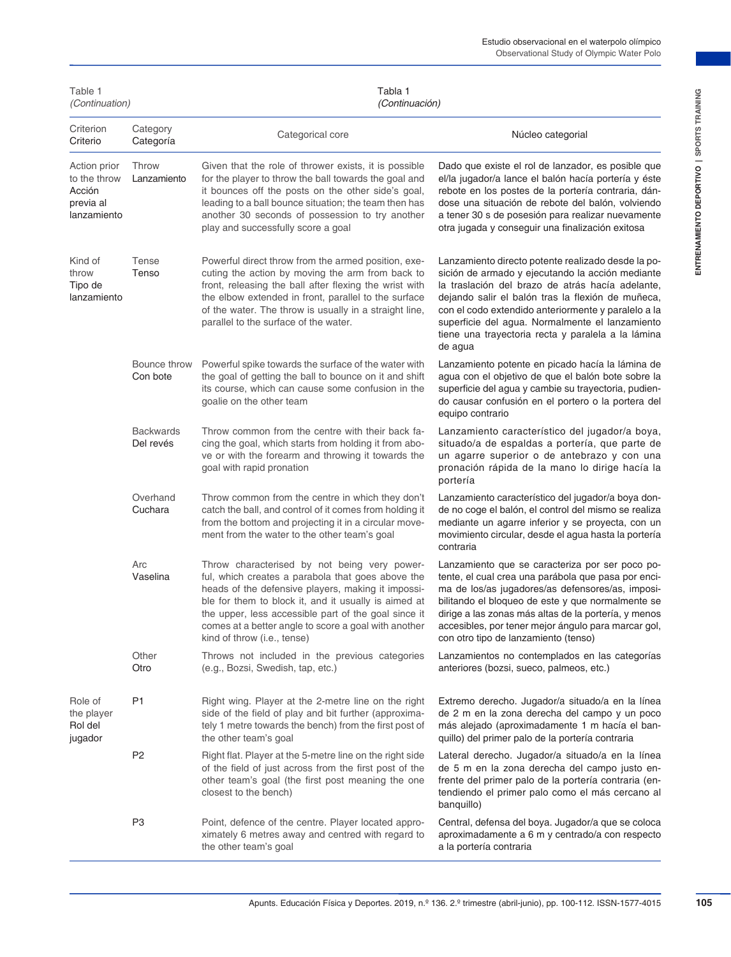| ï                                                        |
|----------------------------------------------------------|
|                                                          |
|                                                          |
| i                                                        |
| ï<br>í<br>í<br>í<br>ı<br>ï<br>í<br>ï<br>ı<br>ī<br>i<br>ı |

| Table 1<br>(Continuation)                                          |                               | Tabla 1<br>(Continuación)                                                                                                                                                                                                                                                                                                                                      |                                                                                                                                                                                                                                                                                                                                                                                            |  |  |  |  |
|--------------------------------------------------------------------|-------------------------------|----------------------------------------------------------------------------------------------------------------------------------------------------------------------------------------------------------------------------------------------------------------------------------------------------------------------------------------------------------------|--------------------------------------------------------------------------------------------------------------------------------------------------------------------------------------------------------------------------------------------------------------------------------------------------------------------------------------------------------------------------------------------|--|--|--|--|
| Criterion<br>Criterio                                              | Category<br>Categoría         | Categorical core                                                                                                                                                                                                                                                                                                                                               | Núcleo categorial                                                                                                                                                                                                                                                                                                                                                                          |  |  |  |  |
| Action prior<br>to the throw<br>Acción<br>previa al<br>lanzamiento | Throw<br>Lanzamiento          | Given that the role of thrower exists, it is possible<br>for the player to throw the ball towards the goal and<br>it bounces off the posts on the other side's goal,<br>leading to a ball bounce situation; the team then has<br>another 30 seconds of possession to try another<br>play and successfully score a goal                                         | Dado que existe el rol de lanzador, es posible que<br>el/la jugador/a lance el balón hacía portería y éste<br>rebote en los postes de la portería contraria, dán-<br>dose una situación de rebote del balón, volviendo<br>a tener 30 s de posesión para realizar nuevamente<br>otra jugada y conseguir una finalización exitosa                                                            |  |  |  |  |
| Kind of<br>throw<br>Tipo de<br>lanzamiento                         | <b>Tense</b><br>Tenso         | Powerful direct throw from the armed position, exe-<br>cuting the action by moving the arm from back to<br>front, releasing the ball after flexing the wrist with<br>the elbow extended in front, parallel to the surface<br>of the water. The throw is usually in a straight line,<br>parallel to the surface of the water.                                   | Lanzamiento directo potente realizado desde la po-<br>sición de armado y ejecutando la acción mediante<br>la traslación del brazo de atrás hacía adelante,<br>dejando salir el balón tras la flexión de muñeca,<br>con el codo extendido anteriormente y paralelo a la<br>superficie del agua. Normalmente el lanzamiento<br>tiene una trayectoria recta y paralela a la lámina<br>de agua |  |  |  |  |
|                                                                    | Bounce throw<br>Con bote      | Powerful spike towards the surface of the water with<br>the goal of getting the ball to bounce on it and shift<br>its course, which can cause some confusion in the<br>goalie on the other team                                                                                                                                                                | Lanzamiento potente en picado hacía la lámina de<br>agua con el objetivo de que el balón bote sobre la<br>superficie del agua y cambie su trayectoria, pudien-<br>do causar confusión en el portero o la portera del<br>equipo contrario                                                                                                                                                   |  |  |  |  |
|                                                                    | <b>Backwards</b><br>Del revés | Throw common from the centre with their back fa-<br>cing the goal, which starts from holding it from abo-<br>ve or with the forearm and throwing it towards the<br>goal with rapid pronation                                                                                                                                                                   | Lanzamiento característico del jugador/a boya,<br>situado/a de espaldas a portería, que parte de<br>un agarre superior o de antebrazo y con una<br>pronación rápida de la mano lo dirige hacía la<br>portería                                                                                                                                                                              |  |  |  |  |
|                                                                    | Overhand<br>Cuchara           | Throw common from the centre in which they don't<br>catch the ball, and control of it comes from holding it<br>from the bottom and projecting it in a circular move-<br>ment from the water to the other team's goal                                                                                                                                           | Lanzamiento característico del jugador/a boya don-<br>de no coge el balón, el control del mismo se realiza<br>mediante un agarre inferior y se proyecta, con un<br>movimiento circular, desde el agua hasta la portería<br>contraria                                                                                                                                                       |  |  |  |  |
|                                                                    | Arc<br>Vaselina               | Throw characterised by not being very power-<br>ful, which creates a parabola that goes above the<br>heads of the defensive players, making it impossi-<br>ble for them to block it, and it usually is aimed at<br>the upper, less accessible part of the goal since it<br>comes at a better angle to score a goal with another<br>kind of throw (i.e., tense) | Lanzamiento que se caracteriza por ser poco po-<br>tente, el cual crea una parábola que pasa por enci-<br>ma de los/as jugadores/as defensores/as, imposi-<br>bilitando el bloqueo de este y que normalmente se<br>dirige a las zonas más altas de la portería, y menos<br>accesibles, por tener mejor ángulo para marcar gol,<br>con otro tipo de lanzamiento (tenso)                     |  |  |  |  |
|                                                                    | Other<br>Otro                 | Throws not included in the previous categories<br>(e.g., Bozsi, Swedish, tap, etc.)                                                                                                                                                                                                                                                                            | Lanzamientos no contemplados en las categorías<br>anteriores (bozsi, sueco, palmeos, etc.)                                                                                                                                                                                                                                                                                                 |  |  |  |  |
| Role of<br>the player<br>Rol del<br>jugador                        | P <sub>1</sub>                | Right wing. Player at the 2-metre line on the right<br>side of the field of play and bit further (approxima-<br>tely 1 metre towards the bench) from the first post of<br>the other team's goal                                                                                                                                                                | Extremo derecho. Jugador/a situado/a en la línea<br>de 2 m en la zona derecha del campo y un poco<br>más alejado (aproximadamente 1 m hacía el ban-<br>quillo) del primer palo de la portería contraria                                                                                                                                                                                    |  |  |  |  |
|                                                                    | P <sub>2</sub>                | Right flat. Player at the 5-metre line on the right side<br>of the field of just across from the first post of the<br>other team's goal (the first post meaning the one<br>closest to the bench)                                                                                                                                                               | Lateral derecho. Jugador/a situado/a en la línea<br>de 5 m en la zona derecha del campo justo en-<br>frente del primer palo de la portería contraria (en-<br>tendiendo el primer palo como el más cercano al<br>banquillo)                                                                                                                                                                 |  |  |  |  |
|                                                                    | P <sub>3</sub>                | Point, defence of the centre. Player located appro-<br>ximately 6 metres away and centred with regard to<br>the other team's goal                                                                                                                                                                                                                              | Central, defensa del boya. Jugador/a que se coloca<br>aproximadamente a 6 m y centrado/a con respecto<br>a la portería contraria                                                                                                                                                                                                                                                           |  |  |  |  |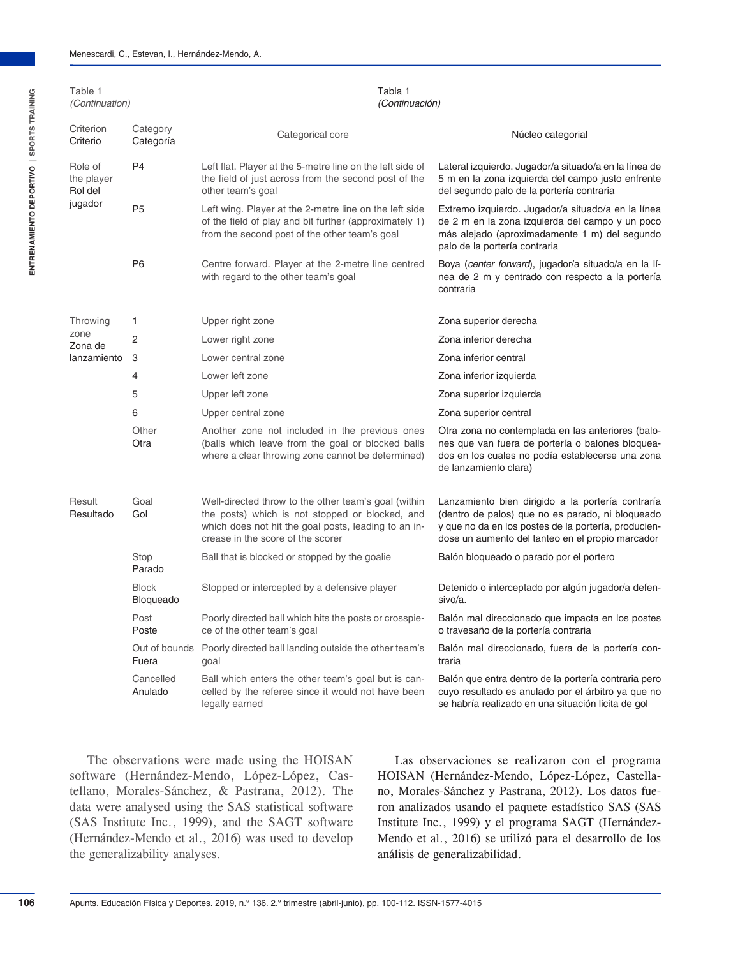| Table 1<br><i>(Continuation)</i> |                                  | Tabla 1<br>(Continuación)                                                                                                                                                                            |                                                                                                                                                                                                                   |  |  |  |  |
|----------------------------------|----------------------------------|------------------------------------------------------------------------------------------------------------------------------------------------------------------------------------------------------|-------------------------------------------------------------------------------------------------------------------------------------------------------------------------------------------------------------------|--|--|--|--|
| Criterion<br>Criterio            | Category<br>Categoría            | Categorical core                                                                                                                                                                                     | Núcleo categorial                                                                                                                                                                                                 |  |  |  |  |
| Role of<br>the player<br>Rol del | P <sub>4</sub>                   | Left flat. Player at the 5-metre line on the left side of<br>the field of just across from the second post of the<br>other team's goal                                                               | Lateral izquierdo. Jugador/a situado/a en la línea de<br>5 m en la zona izquierda del campo justo enfrente<br>del segundo palo de la portería contraria                                                           |  |  |  |  |
| jugador                          | P <sub>5</sub>                   | Left wing. Player at the 2-metre line on the left side<br>of the field of play and bit further (approximately 1)<br>from the second post of the other team's goal                                    | Extremo izquierdo. Jugador/a situado/a en la línea<br>de 2 m en la zona izquierda del campo y un poco<br>más alejado (aproximadamente 1 m) del segundo<br>palo de la portería contraria                           |  |  |  |  |
|                                  | P <sub>6</sub>                   | Centre forward. Player at the 2-metre line centred<br>with regard to the other team's goal                                                                                                           | Boya (center forward), jugador/a situado/a en la lí-<br>nea de 2 m y centrado con respecto a la portería<br>contraria                                                                                             |  |  |  |  |
| Throwing                         | 1                                | Upper right zone                                                                                                                                                                                     | Zona superior derecha                                                                                                                                                                                             |  |  |  |  |
| zone<br>Zona de                  | 2                                | Lower right zone                                                                                                                                                                                     | Zona inferior derecha                                                                                                                                                                                             |  |  |  |  |
| lanzamiento                      | 3                                | Lower central zone                                                                                                                                                                                   | Zona inferior central                                                                                                                                                                                             |  |  |  |  |
|                                  | 4                                | Lower left zone                                                                                                                                                                                      | Zona inferior izquierda                                                                                                                                                                                           |  |  |  |  |
|                                  | 5                                | Upper left zone                                                                                                                                                                                      | Zona superior izquierda                                                                                                                                                                                           |  |  |  |  |
|                                  | 6                                | Upper central zone                                                                                                                                                                                   | Zona superior central                                                                                                                                                                                             |  |  |  |  |
|                                  | Other<br>Otra                    | Another zone not included in the previous ones<br>(balls which leave from the goal or blocked balls<br>where a clear throwing zone cannot be determined)                                             | Otra zona no contemplada en las anteriores (balo-<br>nes que van fuera de portería o balones bloquea-<br>dos en los cuales no podía establecerse una zona<br>de lanzamiento clara)                                |  |  |  |  |
| Result<br>Resultado              | Goal<br>Gol                      | Well-directed throw to the other team's goal (within<br>the posts) which is not stopped or blocked, and<br>which does not hit the goal posts, leading to an in-<br>crease in the score of the scorer | Lanzamiento bien dirigido a la portería contraría<br>(dentro de palos) que no es parado, ni bloqueado<br>y que no da en los postes de la portería, producien-<br>dose un aumento del tanteo en el propio marcador |  |  |  |  |
|                                  | Stop<br>Parado                   | Ball that is blocked or stopped by the goalie                                                                                                                                                        | Balón bloqueado o parado por el portero                                                                                                                                                                           |  |  |  |  |
|                                  | <b>Block</b><br><b>Bloqueado</b> | Stopped or intercepted by a defensive player                                                                                                                                                         | Detenido o interceptado por algún jugador/a defen-<br>sivo/a.                                                                                                                                                     |  |  |  |  |
|                                  | Post<br>Poste                    | Poorly directed ball which hits the posts or crosspie-<br>ce of the other team's goal                                                                                                                | Balón mal direccionado que impacta en los postes<br>o travesaño de la portería contraria                                                                                                                          |  |  |  |  |
|                                  | Fuera                            | Out of bounds Poorly directed ball landing outside the other team's<br>goal                                                                                                                          | Balón mal direccionado, fuera de la portería con-<br>traria                                                                                                                                                       |  |  |  |  |
|                                  | Cancelled<br>Anulado             | Ball which enters the other team's goal but is can-<br>celled by the referee since it would not have been<br>legally earned                                                                          | Balón que entra dentro de la portería contraria pero<br>cuyo resultado es anulado por el árbitro ya que no<br>se habría realizado en una situación licita de gol                                                  |  |  |  |  |

The observations were made using the HOISAN software (Hernández-Mendo, López-López, Castellano, Morales-Sánchez, & Pastrana, 2012). The data were analysed using the SAS statistical software (SAS Institute Inc., 1999), and the SAGT software (Hernández-Mendo et al., 2016) was used to develop the generalizability analyses.

Las observaciones se realizaron con el programa HOISAN (Hernández-Mendo, López-López, Castellano, Morales-Sánchez y Pastrana, 2012). Los datos fueron analizados usando el paquete estadístico SAS (SAS Institute Inc., 1999) y el programa SAGT (Hernández-Mendo et al., 2016) se utilizó para el desarrollo de los análisis de generalizabilidad.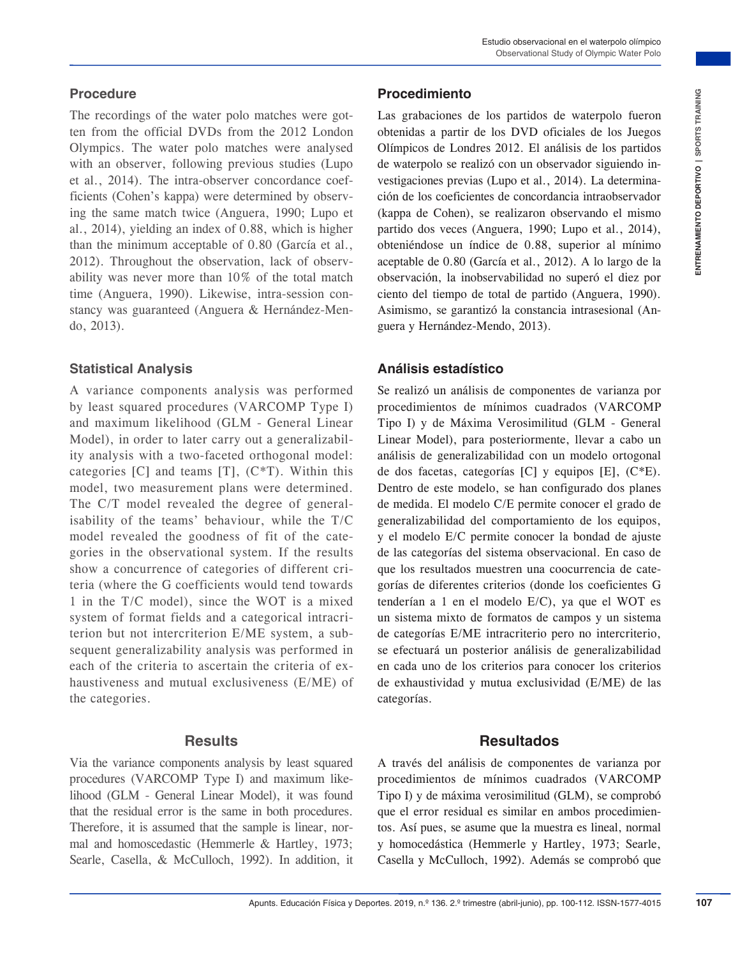#### **Procedure**

The recordings of the water polo matches were gotten from the official DVDs from the 2012 London Olympics. The water polo matches were analysed with an observer, following previous studies (Lupo et al., 2014). The intra-observer concordance coefficients (Cohen's kappa) were determined by observing the same match twice (Anguera, 1990; Lupo et al., 2014), yielding an index of 0.88, which is higher than the minimum acceptable of 0.80 (García et al., 2012). Throughout the observation, lack of observability was never more than 10% of the total match time (Anguera, 1990). Likewise, intra-session constancy was guaranteed (Anguera & Hernández-Mendo, 2013).

#### **Statistical Analysis**

A variance components analysis was performed by least squared procedures (VARCOMP Type I) and maximum likelihood (GLM - General Linear Model), in order to later carry out a generalizability analysis with a two-faceted orthogonal model: categories  $[C]$  and teams  $[T]$ ,  $(C^*T)$ . Within this model, two measurement plans were determined. The C/T model revealed the degree of generalisability of the teams' behaviour, while the T/C model revealed the goodness of fit of the categories in the observational system. If the results show a concurrence of categories of different criteria (where the G coefficients would tend towards 1 in the T/C model), since the WOT is a mixed system of format fields and a categorical intracriterion but not intercriterion E/ME system, a subsequent generalizability analysis was performed in each of the criteria to ascertain the criteria of exhaustiveness and mutual exclusiveness (E/ME) of the categories.

## **Results**

Via the variance components analysis by least squared procedures (VARCOMP Type I) and maximum likelihood (GLM - General Linear Model), it was found that the residual error is the same in both procedures. Therefore, it is assumed that the sample is linear, normal and homoscedastic (Hemmerle & Hartley, 1973; Searle, Casella, & McCulloch, 1992). In addition, it

#### **Procedimiento**

Las grabaciones de los partidos de waterpolo fueron obtenidas a partir de los DVD oficiales de los Juegos Olímpicos de Londres 2012. El análisis de los partidos de waterpolo se realizó con un observador siguiendo investigaciones previas (Lupo et al., 2014). La determinación de los coeficientes de concordancia intraobservador (kappa de Cohen), se realizaron observando el mismo partido dos veces (Anguera, 1990; Lupo et al., 2014), obteniéndose un índice de 0.88, superior al mínimo aceptable de 0.80 (García et al., 2012). A lo largo de la observación, la inobservabilidad no superó el diez por ciento del tiempo de total de partido (Anguera, 1990). Asimismo, se garantizó la constancia intrasesional (Anguera y Hernández-Mendo, 2013).

## **Análisis estadístico**

**Entity From the Procedimies to the SIVD of historical control the CMOS (abril-game) and a briling the law the source of the single of the single scan and the single of the single of the single control of the single contro** Se realizó un análisis de componentes de varianza por procedimientos de mínimos cuadrados (VARCOMP Tipo I) y de Máxima Verosimilitud (GLM - General Linear Model), para posteriormente, llevar a cabo un análisis de generalizabilidad con un modelo ortogonal de dos facetas, categorías [C] y equipos [E], (C\*E). Dentro de este modelo, se han configurado dos planes de medida. El modelo C/E permite conocer el grado de generalizabilidad del comportamiento de los equipos, y el modelo E/C permite conocer la bondad de ajuste de las categorías del sistema observacional. En caso de que los resultados muestren una coocurrencia de categorías de diferentes criterios (donde los coeficientes G tenderían a 1 en el modelo E/C), ya que el WOT es un sistema mixto de formatos de campos y un sistema de categorías E/ME intracriterio pero no intercriterio, se efectuará un posterior análisis de generalizabilidad en cada uno de los criterios para conocer los criterios de exhaustividad y mutua exclusividad (E/ME) de las categorías.

# **Resultados**

A través del análisis de componentes de varianza por procedimientos de mínimos cuadrados (VARCOMP Tipo I) y de máxima verosimilitud (GLM), se comprobó que el error residual es similar en ambos procedimientos. Así pues, se asume que la muestra es lineal, normal y homocedástica (Hemmerle y Hartley, 1973; Searle, Casella y McCulloch, 1992). Además se comprobó que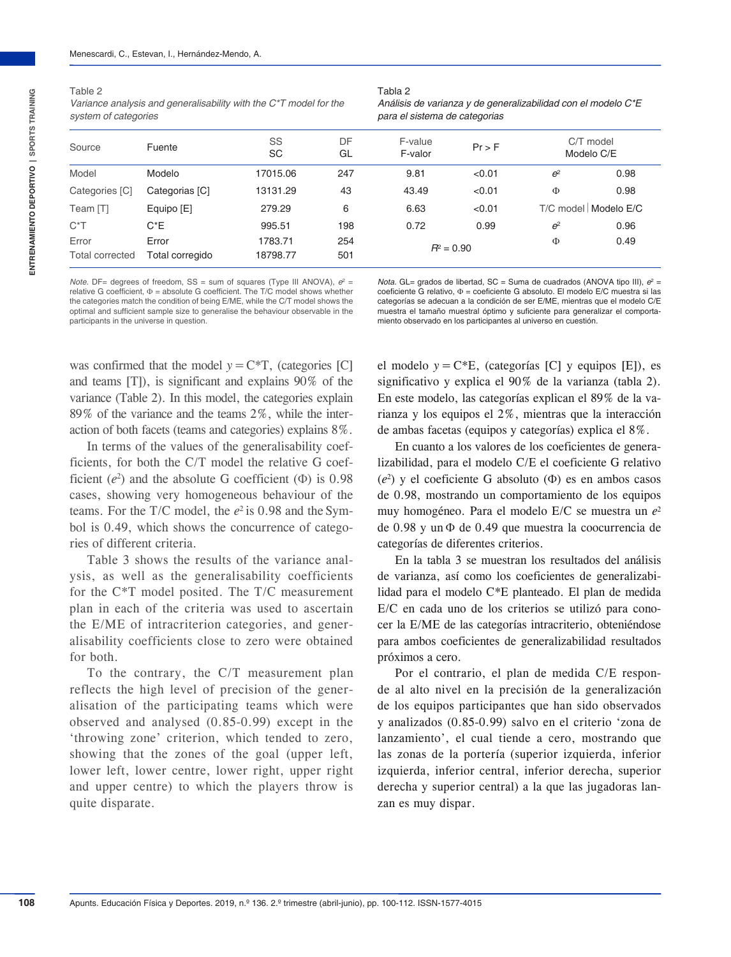**108**

Table 2 *Variance analysis and generalisability with the C\*T model for the system of categories* 

#### Tabla 2

| Análisis de varianza y de generalizabilidad con el modelo C*E |
|---------------------------------------------------------------|
| para el sistema de categorias                                 |

| Source                           | Fuente                   | SS<br>SC            | DF<br>GL   | F-value<br>F-valor | $Pr$ > F |                | C/T model<br>Modelo C/E |
|----------------------------------|--------------------------|---------------------|------------|--------------------|----------|----------------|-------------------------|
| Model                            | Modelo                   | 17015.06            | 247        | 9.81               | < 0.01   | e <sup>2</sup> | 0.98                    |
| Categories [C]<br>Categorias [C] |                          | 13131.29            | 43         | 43.49              | < 0.01   | Φ              | 0.98                    |
| Team [T]                         | Equipo [E]               | 279.29              | 6          | 6.63               | < 0.01   |                | T/C model   Modelo E/C  |
| $C^*T$                           | $C^*E$                   | 995.51              | 198        | 0.72               | 0.99     | e <sup>2</sup> | 0.96                    |
| Error<br><b>Total corrected</b>  | Error<br>Total corregido | 1783.71<br>18798.77 | 254<br>501 | $R^2 = 0.90$       |          | Φ              | 0.49                    |

*Note.*  $DF =$  degrees of freedom,  $SS =$  sum of squares (Type III ANOVA),  $e^2 =$ relative G coefficient,  $\Phi$  = absolute G coefficient. The T/C model shows whether the categories match the condition of being E/ME, while the C/T model shows the optimal and sufficient sample size to generalise the behaviour observable in the participants in the universe in question.

*Nota*. GL= grados de libertad, SC = Suma de cuadrados (ANOVA tipo III),  $e^2$  = coeficiente G relativo, Φ = coeficiente G absoluto. El modelo E/C muestra si las categorías se adecuan a la condición de ser E/ME, mientras que el modelo C/E muestra el tamaño muestral óptimo y suficiente para generalizar el comportamiento observado en los participantes al universo en cuestión.

was confirmed that the model  $y = C*T$ , (categories [C] and teams [T]), is significant and explains 90% of the variance (Table 2). In this model, the categories explain 89% of the variance and the teams 2%, while the interaction of both facets (teams and categories) explains 8%.

In terms of the values of the generalisability coefficients, for both the C/T model the relative G coefficient  $(e^2)$  and the absolute G coefficient  $(\Phi)$  is 0.98 cases, showing very homogeneous behaviour of the teams. For the T/C model, the  $e^2$  is 0.98 and the Symbol is 0.49, which shows the concurrence of categories of different criteria.

Table 3 shows the results of the variance analysis, as well as the generalisability coefficients for the C\*T model posited. The T/C measurement plan in each of the criteria was used to ascertain the E/ME of intracriterion categories, and generalisability coefficients close to zero were obtained for both.

To the contrary, the C/T measurement plan reflects the high level of precision of the generalisation of the participating teams which were observed and analysed (0.85-0.99) except in the 'throwing zone' criterion, which tended to zero, showing that the zones of the goal (upper left, lower left, lower centre, lower right, upper right and upper centre) to which the players throw is quite disparate.

el modelo  $y = C*E$ , (categorías [C] y equipos [E]), es significativo y explica el 90% de la varianza (tabla 2). En este modelo, las categorías explican el 89% de la varianza y los equipos el 2%, mientras que la interacción de ambas facetas (equipos y categorías) explica el 8%.

En cuanto a los valores de los coeficientes de generalizabilidad, para el modelo C/E el coeficiente G relativo (*e*2) y el coeficiente G absoluto (Φ) es en ambos casos de 0.98, mostrando un comportamiento de los equipos muy homogéneo. Para el modelo E/C se muestra un *e*<sup>2</sup> de 0.98 y un Φ de 0.49 que muestra la coocurrencia de categorías de diferentes criterios.

En la tabla 3 se muestran los resultados del análisis de varianza, así como los coeficientes de generalizabilidad para el modelo C\*E planteado. El plan de medida E/C en cada uno de los criterios se utilizó para conocer la E/ME de las categorías intracriterio, obteniéndose para ambos coeficientes de generalizabilidad resultados próximos a cero.

Por el contrario, el plan de medida C/E responde al alto nivel en la precisión de la generalización de los equipos participantes que han sido observados y analizados (0.85-0.99) salvo en el criterio 'zona de lanzamiento', el cual tiende a cero, mostrando que las zonas de la portería (superior izquierda, inferior izquierda, inferior central, inferior derecha, superior derecha y superior central) a la que las jugadoras lanzan es muy dispar.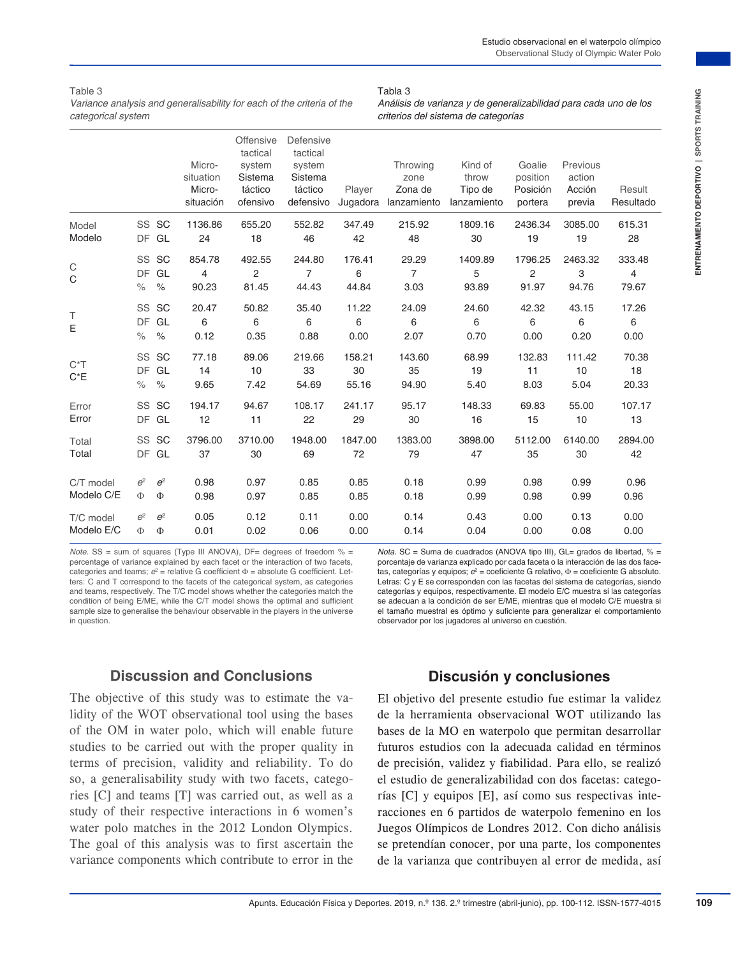# Table 3

|                                                                                                                                                                                                                                                                                                                                                                                                                                                                                                                                          |                                                     |       | Micro-<br>situation<br>Micro-<br>situación           | Offensive<br>tactical<br>system<br>Sistema<br>táctico<br>ofensivo | Defensive<br>tactical<br>system<br>Sistema<br>táctico<br>defensivo | Player                                                 | Throwing<br>zone<br>Zona de<br>Jugadora lanzamiento                                                                                                                                                                                                                                                                                                                                                                                                                                                                                                                             | Kind of<br>throw<br>Tipo de<br>lanzamiento            | Goalie<br>position<br>Posición<br>portera | Previous<br>action<br>Acción<br>previa | Result<br>Resultado |  |
|------------------------------------------------------------------------------------------------------------------------------------------------------------------------------------------------------------------------------------------------------------------------------------------------------------------------------------------------------------------------------------------------------------------------------------------------------------------------------------------------------------------------------------------|-----------------------------------------------------|-------|------------------------------------------------------|-------------------------------------------------------------------|--------------------------------------------------------------------|--------------------------------------------------------|---------------------------------------------------------------------------------------------------------------------------------------------------------------------------------------------------------------------------------------------------------------------------------------------------------------------------------------------------------------------------------------------------------------------------------------------------------------------------------------------------------------------------------------------------------------------------------|-------------------------------------------------------|-------------------------------------------|----------------------------------------|---------------------|--|
| Model                                                                                                                                                                                                                                                                                                                                                                                                                                                                                                                                    |                                                     | SS SC | 1136.86                                              | 655.20                                                            | 552.82                                                             | 347.49                                                 | 215.92                                                                                                                                                                                                                                                                                                                                                                                                                                                                                                                                                                          | 1809.16                                               | 2436.34                                   | 3085.00                                | 615.31              |  |
| Modelo                                                                                                                                                                                                                                                                                                                                                                                                                                                                                                                                   |                                                     | DF GL | 24                                                   | 18                                                                | 46                                                                 | 42                                                     | 48                                                                                                                                                                                                                                                                                                                                                                                                                                                                                                                                                                              | 30                                                    | 19                                        | 19                                     | 28                  |  |
|                                                                                                                                                                                                                                                                                                                                                                                                                                                                                                                                          |                                                     | SS SC | 854.78                                               | 492.55                                                            | 244.80                                                             | 176.41                                                 | 29.29                                                                                                                                                                                                                                                                                                                                                                                                                                                                                                                                                                           | 1409.89                                               | 1796.25                                   | 2463.32                                | 333.48              |  |
| C<br>С                                                                                                                                                                                                                                                                                                                                                                                                                                                                                                                                   | DF                                                  | GL    | 4                                                    | $\overline{\mathbf{c}}$                                           | 7                                                                  | 6                                                      | 7                                                                                                                                                                                                                                                                                                                                                                                                                                                                                                                                                                               | 5                                                     | 2                                         | 3                                      | 4                   |  |
|                                                                                                                                                                                                                                                                                                                                                                                                                                                                                                                                          | $\%$                                                | $\%$  | 90.23                                                | 81.45                                                             | 44.43                                                              | 44.84                                                  | 3.03                                                                                                                                                                                                                                                                                                                                                                                                                                                                                                                                                                            | 93.89                                                 | 91.97                                     | 94.76                                  | 79.67               |  |
|                                                                                                                                                                                                                                                                                                                                                                                                                                                                                                                                          |                                                     | SS SC | 20.47                                                | 50.82                                                             | 35.40                                                              | 11.22                                                  | 24.09                                                                                                                                                                                                                                                                                                                                                                                                                                                                                                                                                                           | 24.60                                                 | 42.32                                     | 43.15                                  | 17.26               |  |
| Τ<br>Ε                                                                                                                                                                                                                                                                                                                                                                                                                                                                                                                                   | DF                                                  | GL    | 6                                                    | 6                                                                 | 6                                                                  | 6                                                      | 6                                                                                                                                                                                                                                                                                                                                                                                                                                                                                                                                                                               | 6                                                     | 6                                         | 6                                      | 6                   |  |
|                                                                                                                                                                                                                                                                                                                                                                                                                                                                                                                                          | $\%$                                                | $\%$  | 0.12                                                 | 0.35                                                              | 0.88                                                               | 0.00                                                   | 2.07                                                                                                                                                                                                                                                                                                                                                                                                                                                                                                                                                                            | 0.70                                                  | 0.00                                      | 0.20                                   | 0.00                |  |
|                                                                                                                                                                                                                                                                                                                                                                                                                                                                                                                                          |                                                     | SS SC | 77.18                                                | 89.06                                                             | 219.66                                                             | 158.21                                                 | 143.60                                                                                                                                                                                                                                                                                                                                                                                                                                                                                                                                                                          | 68.99                                                 | 132.83                                    | 111.42                                 | 70.38               |  |
| $C^*T$                                                                                                                                                                                                                                                                                                                                                                                                                                                                                                                                   | DF                                                  | GL    | 14                                                   | 10                                                                | 33                                                                 | $30\,$                                                 | 35                                                                                                                                                                                                                                                                                                                                                                                                                                                                                                                                                                              | 19                                                    | 11                                        | 10                                     | 18                  |  |
| $C^*E$                                                                                                                                                                                                                                                                                                                                                                                                                                                                                                                                   | $\%$                                                | $\%$  | 9.65                                                 | 7.42                                                              | 54.69                                                              | 55.16                                                  | 94.90                                                                                                                                                                                                                                                                                                                                                                                                                                                                                                                                                                           | 5.40                                                  | 8.03                                      | 5.04                                   | 20.33               |  |
| Error                                                                                                                                                                                                                                                                                                                                                                                                                                                                                                                                    | SS                                                  | SС    | 194.17                                               | 94.67                                                             | 108.17                                                             | 241.17                                                 | 95.17                                                                                                                                                                                                                                                                                                                                                                                                                                                                                                                                                                           | 148.33                                                | 69.83                                     | 55.00                                  | 107.17              |  |
| Error                                                                                                                                                                                                                                                                                                                                                                                                                                                                                                                                    |                                                     | DF GL | 12                                                   | 11                                                                | 22                                                                 | 29                                                     | 30                                                                                                                                                                                                                                                                                                                                                                                                                                                                                                                                                                              | 16                                                    | 15                                        | 10                                     | 13                  |  |
| Total                                                                                                                                                                                                                                                                                                                                                                                                                                                                                                                                    |                                                     | SS SC | 3796.00                                              | 3710.00                                                           | 1948.00                                                            | 1847.00                                                | 1383.00                                                                                                                                                                                                                                                                                                                                                                                                                                                                                                                                                                         | 3898.00                                               | 5112.00                                   | 6140.00                                | 2894.00             |  |
| Total                                                                                                                                                                                                                                                                                                                                                                                                                                                                                                                                    |                                                     | DF GL | 37                                                   | 30                                                                | 69                                                                 | $72\,$                                                 | 79                                                                                                                                                                                                                                                                                                                                                                                                                                                                                                                                                                              | 47                                                    | 35                                        | 30                                     | 42                  |  |
|                                                                                                                                                                                                                                                                                                                                                                                                                                                                                                                                          |                                                     |       |                                                      |                                                                   |                                                                    |                                                        |                                                                                                                                                                                                                                                                                                                                                                                                                                                                                                                                                                                 |                                                       |                                           |                                        |                     |  |
| C/T model                                                                                                                                                                                                                                                                                                                                                                                                                                                                                                                                | $e^2$                                               | $e^2$ | 0.98                                                 | 0.97                                                              | 0.85                                                               | 0.85                                                   | 0.18                                                                                                                                                                                                                                                                                                                                                                                                                                                                                                                                                                            | 0.99                                                  | 0.98                                      | 0.99                                   | 0.96                |  |
| Modelo C/E                                                                                                                                                                                                                                                                                                                                                                                                                                                                                                                               | Ф                                                   | Ф     | 0.98                                                 | 0.97                                                              | 0.85                                                               | 0.85                                                   | 0.18                                                                                                                                                                                                                                                                                                                                                                                                                                                                                                                                                                            | 0.99                                                  | 0.98                                      | 0.99                                   | 0.96                |  |
| T/C model                                                                                                                                                                                                                                                                                                                                                                                                                                                                                                                                | $e^2$                                               | $e^2$ | 0.05                                                 | 0.12                                                              | 0.11                                                               | 0.00                                                   | 0.14                                                                                                                                                                                                                                                                                                                                                                                                                                                                                                                                                                            | 0.43                                                  | 0.00                                      | 0.13                                   | 0.00                |  |
| Modelo E/C                                                                                                                                                                                                                                                                                                                                                                                                                                                                                                                               | Ф                                                   | Φ     | 0.01                                                 | 0.02                                                              | 0.06                                                               | 0.00                                                   | 0.14                                                                                                                                                                                                                                                                                                                                                                                                                                                                                                                                                                            | 0.04                                                  | 0.00                                      | 0.08                                   | 0.00                |  |
| percentage of variance explained by each facet or the interaction of two facets,<br>categories and teams; $e^2$ = relative G coefficient $\Phi$ = absolute G coefficient. Let-<br>ters: C and T correspond to the facets of the categorical system, as categories<br>and teams, respectively. The T/C model shows whether the categories match the<br>condition of being E/ME, while the C/T model shows the optimal and sufficient<br>sample size to generalise the behaviour observable in the players in the universe<br>in question. |                                                     |       |                                                      |                                                                   |                                                                    |                                                        | porcentaje de varianza explicado por cada faceta o la interacción de las dos face-<br>tas, categorías y equipos; $e^2$ = coeficiente G relativo, $\Phi$ = coeficiente G absoluto.<br>Letras: C y E se corresponden con las facetas del sistema de categorías, siendo<br>categorías y equipos, respectivamente. El modelo E/C muestra si las categorías<br>se adecuan a la condición de ser E/ME, mientras que el modelo C/E muestra si<br>el tamaño muestral es óptimo y suficiente para generalizar el comportamiento<br>observador por los jugadores al universo en cuestión. |                                                       |                                           |                                        |                     |  |
|                                                                                                                                                                                                                                                                                                                                                                                                                                                                                                                                          |                                                     |       | <b>Discussion and Conclusions</b>                    |                                                                   |                                                                    |                                                        |                                                                                                                                                                                                                                                                                                                                                                                                                                                                                                                                                                                 | Discusión y conclusiones                              |                                           |                                        |                     |  |
| The objective of this study was to estimate the va-                                                                                                                                                                                                                                                                                                                                                                                                                                                                                      |                                                     |       |                                                      |                                                                   |                                                                    |                                                        | El objetivo del presente estudio fue estimar la validez                                                                                                                                                                                                                                                                                                                                                                                                                                                                                                                         |                                                       |                                           |                                        |                     |  |
| lidity of the WOT observational tool using the bases                                                                                                                                                                                                                                                                                                                                                                                                                                                                                     |                                                     |       |                                                      |                                                                   |                                                                    |                                                        | de la herramienta observacional WOT utilizando las                                                                                                                                                                                                                                                                                                                                                                                                                                                                                                                              |                                                       |                                           |                                        |                     |  |
| of the OM in water polo, which will enable future                                                                                                                                                                                                                                                                                                                                                                                                                                                                                        |                                                     |       |                                                      |                                                                   |                                                                    |                                                        | bases de la MO en waterpolo que permitan desarrollar                                                                                                                                                                                                                                                                                                                                                                                                                                                                                                                            |                                                       |                                           |                                        |                     |  |
| studies to be carried out with the proper quality in                                                                                                                                                                                                                                                                                                                                                                                                                                                                                     |                                                     |       |                                                      |                                                                   |                                                                    | futuros estudios con la adecuada calidad en términos   |                                                                                                                                                                                                                                                                                                                                                                                                                                                                                                                                                                                 |                                                       |                                           |                                        |                     |  |
| terms of precision, validity and reliability. To do                                                                                                                                                                                                                                                                                                                                                                                                                                                                                      |                                                     |       |                                                      |                                                                   | de precisión, validez y fiabilidad. Para ello, se realizó          |                                                        |                                                                                                                                                                                                                                                                                                                                                                                                                                                                                                                                                                                 |                                                       |                                           |                                        |                     |  |
| so, a generalisability study with two facets, catego-                                                                                                                                                                                                                                                                                                                                                                                                                                                                                    |                                                     |       |                                                      |                                                                   | el estudio de generalizabilidad con dos facetas: catego-           |                                                        |                                                                                                                                                                                                                                                                                                                                                                                                                                                                                                                                                                                 |                                                       |                                           |                                        |                     |  |
| ries [C] and teams [T] was carried out, as well as a                                                                                                                                                                                                                                                                                                                                                                                                                                                                                     |                                                     |       |                                                      |                                                                   |                                                                    | rías [C] y equipos [E], así como sus respectivas inte- |                                                                                                                                                                                                                                                                                                                                                                                                                                                                                                                                                                                 |                                                       |                                           |                                        |                     |  |
|                                                                                                                                                                                                                                                                                                                                                                                                                                                                                                                                          | study of their respective interactions in 6 women's |       |                                                      |                                                                   |                                                                    |                                                        | racciones en 6 partidos de waterpolo femenino en los                                                                                                                                                                                                                                                                                                                                                                                                                                                                                                                            |                                                       |                                           |                                        |                     |  |
|                                                                                                                                                                                                                                                                                                                                                                                                                                                                                                                                          | water polo matches in the 2012 London Olympics.     |       |                                                      |                                                                   |                                                                    |                                                        | Juegos Olímpicos de Londres 2012. Con dicho análisis                                                                                                                                                                                                                                                                                                                                                                                                                                                                                                                            |                                                       |                                           |                                        |                     |  |
|                                                                                                                                                                                                                                                                                                                                                                                                                                                                                                                                          |                                                     |       | The goal of this analysis was to first ascertain the |                                                                   |                                                                    |                                                        |                                                                                                                                                                                                                                                                                                                                                                                                                                                                                                                                                                                 | se pretendían conocer, por una parte, los componentes |                                           |                                        |                     |  |
| variance components which contribute to error in the                                                                                                                                                                                                                                                                                                                                                                                                                                                                                     |                                                     |       |                                                      |                                                                   |                                                                    |                                                        | de la varianza que contribuyen al error de medida, así                                                                                                                                                                                                                                                                                                                                                                                                                                                                                                                          |                                                       |                                           |                                        |                     |  |

Tabla 3

## **Discussion and Conclusions**

## **Discusión y conclusiones**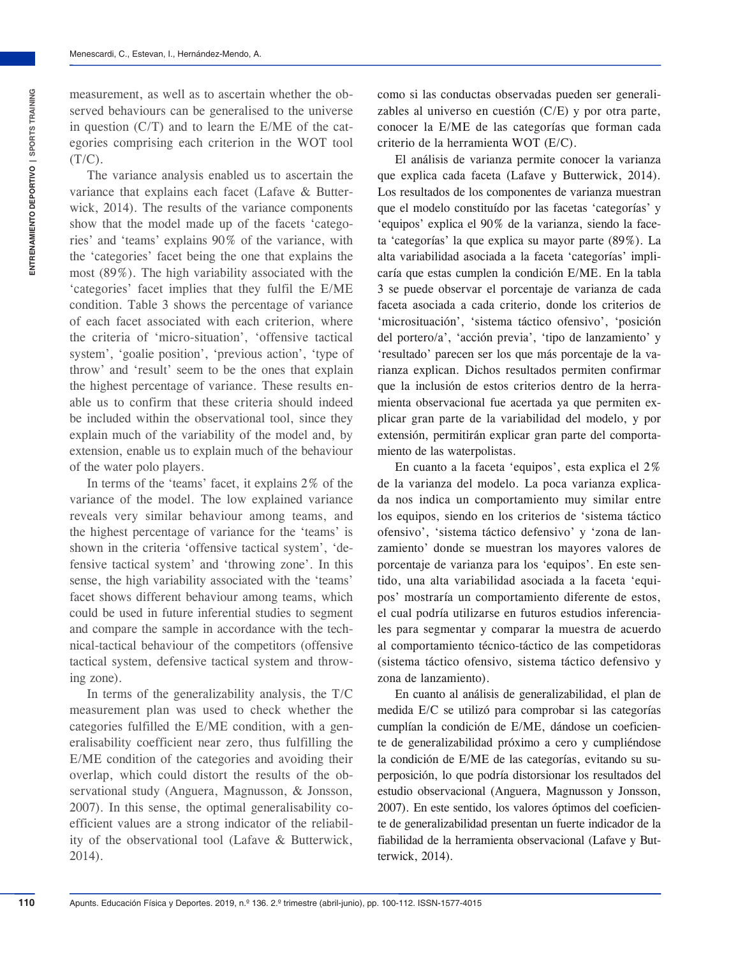measurement, as well as to ascertain whether the observed behaviours can be generalised to the universe in question (C/T) and to learn the E/ME of the categories comprising each criterion in the WOT tool  $(T/C)$ .

The variance analysis enabled us to ascertain the variance that explains each facet (Lafave & Butterwick, 2014). The results of the variance components show that the model made up of the facets 'categories' and 'teams' explains 90% of the variance, with the 'categories' facet being the one that explains the most (89%). The high variability associated with the 'categories' facet implies that they fulfil the E/ME condition. Table 3 shows the percentage of variance of each facet associated with each criterion, where the criteria of 'micro-situation', 'offensive tactical system', 'goalie position', 'previous action', 'type of throw' and 'result' seem to be the ones that explain the highest percentage of variance. These results enable us to confirm that these criteria should indeed be included within the observational tool, since they explain much of the variability of the model and, by extension, enable us to explain much of the behaviour of the water polo players.

In terms of the 'teams' facet, it explains 2% of the variance of the model. The low explained variance reveals very similar behaviour among teams, and the highest percentage of variance for the 'teams' is shown in the criteria 'offensive tactical system', 'defensive tactical system' and 'throwing zone'. In this sense, the high variability associated with the 'teams' facet shows different behaviour among teams, which could be used in future inferential studies to segment and compare the sample in accordance with the technical-tactical behaviour of the competitors (offensive tactical system, defensive tactical system and throwing zone).

In terms of the generalizability analysis, the T/C measurement plan was used to check whether the categories fulfilled the E/ME condition, with a generalisability coefficient near zero, thus fulfilling the E/ME condition of the categories and avoiding their overlap, which could distort the results of the observational study (Anguera, Magnusson, & Jonsson, 2007). In this sense, the optimal generalisability coefficient values are a strong indicator of the reliability of the observational tool (Lafave & Butterwick, 2014).

como si las conductas observadas pueden ser generalizables al universo en cuestión (C/E) y por otra parte, conocer la E/ME de las categorías que forman cada criterio de la herramienta WOT (E/C).

El análisis de varianza permite conocer la varianza que explica cada faceta (Lafave y Butterwick, 2014). Los resultados de los componentes de varianza muestran que el modelo constituído por las facetas 'categorías' y 'equipos' explica el 90% de la varianza, siendo la faceta 'categorías' la que explica su mayor parte (89%). La alta variabilidad asociada a la faceta 'categorías' implicaría que estas cumplen la condición E/ME. En la tabla 3 se puede observar el porcentaje de varianza de cada faceta asociada a cada criterio, donde los criterios de 'microsituación', 'sistema táctico ofensivo', 'posición del portero/a', 'acción previa', 'tipo de lanzamiento' y 'resultado' parecen ser los que más porcentaje de la varianza explican. Dichos resultados permiten confirmar que la inclusión de estos criterios dentro de la herramienta observacional fue acertada ya que permiten explicar gran parte de la variabilidad del modelo, y por extensión, permitirán explicar gran parte del comportamiento de las waterpolistas.

En cuanto a la faceta 'equipos', esta explica el 2% de la varianza del modelo. La poca varianza explicada nos indica un comportamiento muy similar entre los equipos, siendo en los criterios de 'sistema táctico ofensivo', 'sistema táctico defensivo' y 'zona de lanzamiento' donde se muestran los mayores valores de porcentaje de varianza para los 'equipos'. En este sentido, una alta variabilidad asociada a la faceta 'equipos' mostraría un comportamiento diferente de estos, el cual podría utilizarse en futuros estudios inferenciales para segmentar y comparar la muestra de acuerdo al comportamiento técnico-táctico de las competidoras (sistema táctico ofensivo, sistema táctico defensivo y zona de lanzamiento).

En cuanto al análisis de generalizabilidad, el plan de medida E/C se utilizó para comprobar si las categorías cumplían la condición de E/ME, dándose un coeficiente de generalizabilidad próximo a cero y cumpliéndose la condición de E/ME de las categorías, evitando su superposición, lo que podría distorsionar los resultados del estudio observacional (Anguera, Magnusson y Jonsson, 2007). En este sentido, los valores óptimos del coeficiente de generalizabilidad presentan un fuerte indicador de la fiabilidad de la herramienta observacional (Lafave y Butterwick, 2014).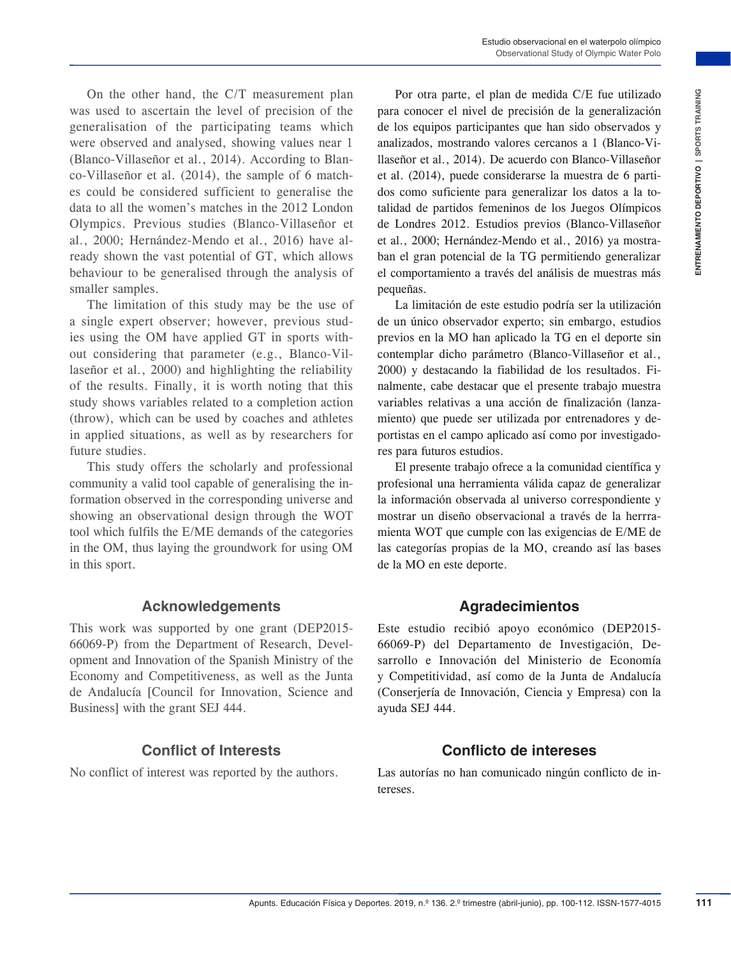On the other hand, the C/T measurement plan was used to ascertain the level of precision of the generalisation of the participating teams which were observed and analysed, showing values near 1 (Blanco-Villaseñor et al., 2014). According to Blanco-Villaseñor et al. (2014), the sample of 6 matches could be considered sufficient to generalise the data to all the women's matches in the 2012 London Olympics. Previous studies (Blanco-Villaseñor et al., 2000; Hernández-Mendo et al., 2016) have already shown the vast potential of GT, which allows behaviour to be generalised through the analysis of smaller samples.

The limitation of this study may be the use of a single expert observer; however, previous studies using the OM have applied GT in sports without considering that parameter (e.g., Blanco-Villaseñor et al., 2000) and highlighting the reliability of the results. Finally, it is worth noting that this study shows variables related to a completion action (throw), which can be used by coaches and athletes in applied situations, as well as by researchers for future studies.

This study offers the scholarly and professional community a valid tool capable of generalising the information observed in the corresponding universe and showing an observational design through the WOT tool which fulfils the E/ME demands of the categories in the OM, thus laying the groundwork for using OM in this sport.

#### **Acknowledgements**

This work was supported by one grant (DEP2015- 66069-P) from the Department of Research, Development and Innovation of the Spanish Ministry of the Economy and Competitiveness, as well as the Junta de Andalucía [Council for Innovation, Science and Business] with the grant SEJ 444.

#### **Conflict of Interests**

No conflict of interest was reported by the authors.

measurement plant<br>
measurement plant and the base complex plant and consider a consider the complex plant and the complex plant and the deported of the measurement of the complex plant and the consideration of the complex Por otra parte, el plan de medida C/E fue utilizado para conocer el nivel de precisión de la generalización de los equipos participantes que han sido observados y analizados, mostrando valores cercanos a 1 (Blanco-Villaseñor et al., 2014). De acuerdo con Blanco-Villaseñor et al. (2014), puede considerarse la muestra de 6 partidos como suficiente para generalizar los datos a la totalidad de partidos femeninos de los Juegos Olímpicos de Londres 2012. Estudios previos (Blanco-Villaseñor et al., 2000; Hernández-Mendo et al., 2016) ya mostraban el gran potencial de la TG permitiendo generalizar el comportamiento a través del análisis de muestras más pequeñas.

La limitación de este estudio podría ser la utilización de un único observador experto; sin embargo, estudios previos en la MO han aplicado la TG en el deporte sin contemplar dicho parámetro (Blanco-Villaseñor et al., 2000) y destacando la fiabilidad de los resultados. Finalmente, cabe destacar que el presente trabajo muestra variables relativas a una acción de finalización (lanzamiento) que puede ser utilizada por entrenadores y deportistas en el campo aplicado así como por investigadores para futuros estudios.

El presente trabajo ofrece a la comunidad científica y profesional una herramienta válida capaz de generalizar la información observada al universo correspondiente y mostrar un diseño observacional a través de la herrramienta WOT que cumple con las exigencias de E/ME de las categorías propias de la MO, creando así las bases de la MO en este deporte.

#### **Agradecimientos**

Este estudio recibió apoyo económico (DEP2015- 66069-P) del Departamento de Investigación, Desarrollo e Innovación del Ministerio de Economía y Competitividad, así como de la Junta de Andalucía (Conserjería de Innovación, Ciencia y Empresa) con la ayuda SEJ 444.

#### **Conflicto de intereses**

Las autorías no han comunicado ningún conflicto de intereses.